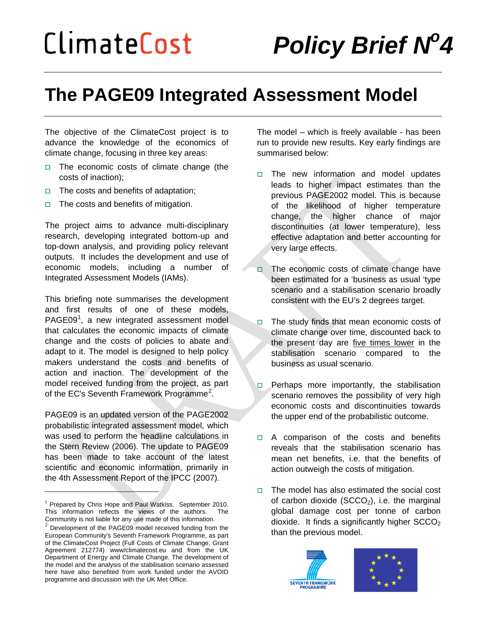# **The PAGE09 Integrated Assessment Model**

The objective of the ClimateCost project is to advance the knowledge of the economics of climate change, focusing in three key areas:

- $\Box$  The economic costs of climate change (the costs of inaction);
- $\Box$  The costs and benefits of adaptation;
- $\Box$  The costs and benefits of mitigation.

The project aims to advance multi-disciplinary research, developing integrated bottom-up and top-down analysis, and providing policy relevant outputs. It includes the development and use of economic models, including a number of Integrated Assessment Models (IAMs).

This briefing note summarises the development and first results of one of these models, PAGE09<sup>[1](#page-0-0)</sup>, a new integrated assessment model that calculates the economic impacts of climate change and the costs of policies to abate and adapt to it. The model is designed to help policy makers understand the costs and benefits of action and inaction. The development of the model received funding from the project, as part of the EC's Seventh Framework Programme<sup>[2](#page-0-1)</sup>.

PAGE09 is an updated version of the PAGE2002 probabilistic integrated assessment model, which was used to perform the headline calculations in the Stern Review (2006). The update to PAGE09 has been made to take account of the latest scientific and economic information, primarily in the 4th Assessment Report of the IPCC (2007).

 $\overline{a}$ 

The model – which is freely available - has been run to provide new results. Key early findings are summarised below:

- $\Box$  The new information and model updates leads to higher impact estimates than the previous PAGE2002 model. This is because of the likelihood of higher temperature change, the higher chance of major discontinuities (at lower temperature), less effective adaptation and better accounting for very large effects.
- $\Box$  The economic costs of climate change have been estimated for a 'business as usual 'type scenario and a stabilisation scenario broadly consistent with the EU's 2 degrees target.
- $\Box$  The study finds that mean economic costs of climate change over time, discounted back to the present day are five times lower in the stabilisation scenario compared to the business as usual scenario.
- $\Box$  Perhaps more importantly, the stabilisation scenario removes the possibility of very high economic costs and discontinuities towards the upper end of the probabilistic outcome.
- $\Box$  A comparison of the costs and benefits reveals that the stabilisation scenario has mean net benefits, i.e. that the benefits of action outweigh the costs of mitigation.
- $\Box$  The model has also estimated the social cost of carbon dioxide  $(SCCO<sub>2</sub>)$ , i.e. the marginal global damage cost per tonne of carbon dioxide. It finds a significantly higher  $SCCO<sub>2</sub>$ than the previous model.





<span id="page-0-0"></span><sup>1</sup> Prepared by Chris Hope and Paul Watkiss. September 2010. This information reflects the views of the authors. The Community is not liable for any use made of this information.

<span id="page-0-1"></span> $\frac{2}{3}$  Development of the PAGE09 model received funding from the European Community's Seventh Framework Programme, as part of the ClimateCost Project (Full Costs of Climate Change, Grant Agreement 212774) www/climatecost.eu and from the UK Department of Energy and Climate Change. The development of the model and the analysis of the stabilisation scenario assessed here have also benefited from work funded under the AVOID programme and discussion with the UK Met Office.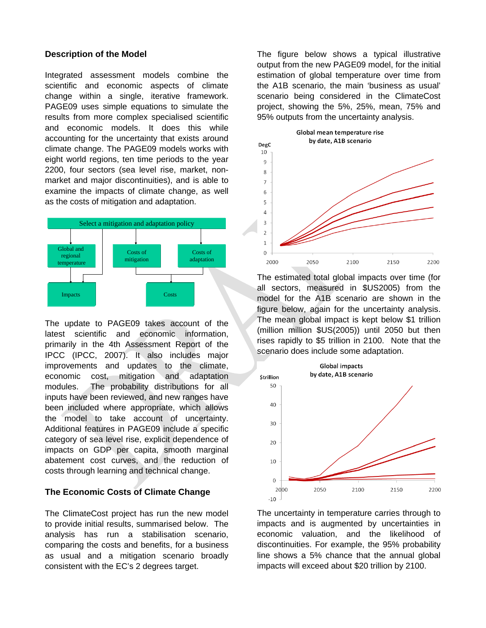#### **Description of the Model**

Integrated assessment models combine the scientific and economic aspects of climate change within a single, iterative framework. PAGE09 uses simple equations to simulate the results from more complex specialised scientific and economic models. It does this while accounting for the uncertainty that exists around climate change. The PAGE09 models works with eight world regions, ten time periods to the year 2200, four sectors (sea level rise, market, nonmarket and major discontinuities), and is able to examine the impacts of climate change, as well as the costs of mitigation and adaptation.



The update to PAGE09 takes account of the latest scientific and economic information, primarily in the 4th Assessment Report of the IPCC (IPCC, 2007). It also includes major improvements and updates to the climate, economic cost, mitigation and adaptation modules. The probability distributions for all inputs have been reviewed, and new ranges have been included where appropriate, which allows the model to take account of uncertainty. Additional features in PAGE09 include a specific category of sea level rise, explicit dependence of impacts on GDP per capita, smooth marginal abatement cost curves, and the reduction of costs through learning and technical change.

### **The Economic Costs of Climate Change**

The ClimateCost project has run the new model to provide initial results, summarised below. The analysis has run a stabilisation scenario, comparing the costs and benefits, for a business as usual and a mitigation scenario broadly consistent with the EC's 2 degrees target.

The figure below shows a typical illustrative output from the new PAGE09 model, for the initial estimation of global temperature over time from the A1B scenario, the main 'business as usual' scenario being considered in the ClimateCost project, showing the 5%, 25%, mean, 75% and 95% outputs from the uncertainty analysis.



The estimated total global impacts over time (for all sectors, measured in \$US2005) from the model for the A1B scenario are shown in the figure below, again for the uncertainty analysis. The mean global impact is kept below \$1 trillion (million million \$US(2005)) until 2050 but then rises rapidly to \$5 trillion in 2100. Note that the scenario does include some adaptation.



The uncertainty in temperature carries through to impacts and is augmented by uncertainties in economic valuation, and the likelihood of discontinuities. For example, the 95% probability line shows a 5% chance that the annual global impacts will exceed about \$20 trillion by 2100.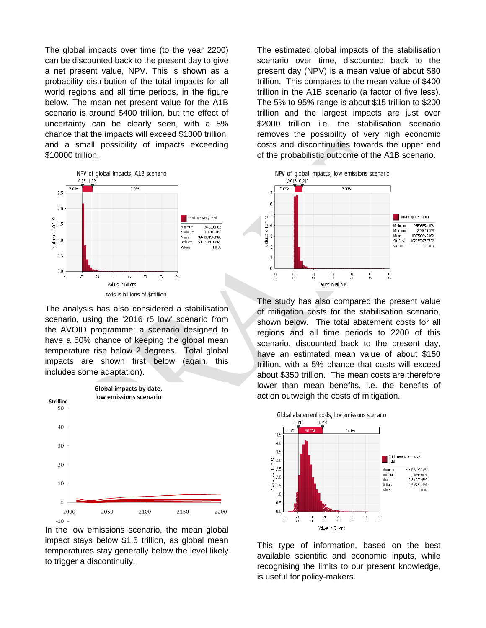The global impacts over time (to the year 2200) can be discounted back to the present day to give a net present value, NPV. This is shown as a probability distribution of the total impacts for all world regions and all time periods, in the figure below. The mean net present value for the A1B scenario is around \$400 trillion, but the effect of uncertainty can be clearly seen, with a 5% chance that the impacts will exceed \$1300 trillion, and a small possibility of impacts exceeding \$10000 trillion.



The analysis has also considered a stabilisation scenario, using the '2016 r5 low' scenario from the AVOID programme: a scenario designed to have a 50% chance of keeping the global mean temperature rise below 2 degrees. Total global impacts are shown first below (again, this includes some adaptation).



In the low emissions scenario, the mean global impact stays below \$1.5 trillion, as global mean temperatures stay generally below the level likely to trigger a discontinuity.

The estimated global impacts of the stabilisation scenario over time, discounted back to the present day (NPV) is a mean value of about \$80 trillion. This compares to the mean value of \$400 trillion in the A1B scenario (a factor of five less). The 5% to 95% range is about \$15 trillion to \$200 trillion and the largest impacts are just over \$2000 trillion i.e. the stabilisation scenario removes the possibility of very high economic costs and discontinuities towards the upper end of the probabilistic outcome of the A1B scenario.



The study has also compared the present value of mitigation costs for the stabilisation scenario, shown below. The total abatement costs for all regions and all time periods to 2200 of this scenario, discounted back to the present day, have an estimated mean value of about \$150 trillion, with a 5% chance that costs will exceed about \$350 trillion. The mean costs are therefore lower than mean benefits, i.e. the benefits of action outweigh the costs of mitigation.



This type of information, based on the best available scientific and economic inputs, while recognising the limits to our present knowledge, is useful for policy-makers.